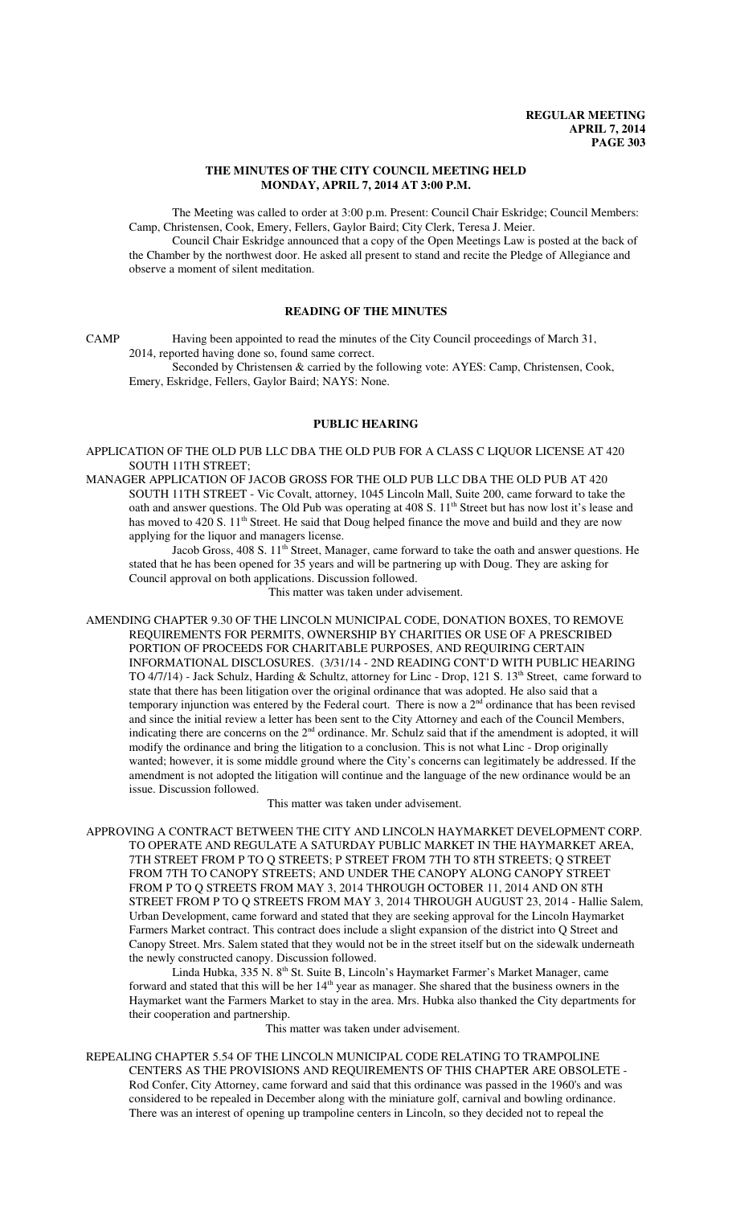## **THE MINUTES OF THE CITY COUNCIL MEETING HELD MONDAY, APRIL 7, 2014 AT 3:00 P.M.**

The Meeting was called to order at 3:00 p.m. Present: Council Chair Eskridge; Council Members: Camp, Christensen, Cook, Emery, Fellers, Gaylor Baird; City Clerk, Teresa J. Meier.

Council Chair Eskridge announced that a copy of the Open Meetings Law is posted at the back of the Chamber by the northwest door. He asked all present to stand and recite the Pledge of Allegiance and observe a moment of silent meditation.

## **READING OF THE MINUTES**

CAMP Having been appointed to read the minutes of the City Council proceedings of March 31, 2014, reported having done so, found same correct.

Seconded by Christensen & carried by the following vote: AYES: Camp, Christensen, Cook, Emery, Eskridge, Fellers, Gaylor Baird; NAYS: None.

## **PUBLIC HEARING**

APPLICATION OF THE OLD PUB LLC DBA THE OLD PUB FOR A CLASS C LIQUOR LICENSE AT 420 SOUTH 11TH STREET;

MANAGER APPLICATION OF JACOB GROSS FOR THE OLD PUB LLC DBA THE OLD PUB AT 420 SOUTH 11TH STREET - Vic Covalt, attorney, 1045 Lincoln Mall, Suite 200, came forward to take the oath and answer questions. The Old Pub was operating at 408 S. 11<sup>th</sup> Street but has now lost it's lease and has moved to 420 S. 11<sup>th</sup> Street. He said that Doug helped finance the move and build and they are now applying for the liquor and managers license.

Jacob Gross, 408 S. 11<sup>th</sup> Street, Manager, came forward to take the oath and answer questions. He stated that he has been opened for 35 years and will be partnering up with Doug. They are asking for Council approval on both applications. Discussion followed.

This matter was taken under advisement.

AMENDING CHAPTER 9.30 OF THE LINCOLN MUNICIPAL CODE, DONATION BOXES, TO REMOVE REQUIREMENTS FOR PERMITS, OWNERSHIP BY CHARITIES OR USE OF A PRESCRIBED PORTION OF PROCEEDS FOR CHARITABLE PURPOSES, AND REQUIRING CERTAIN INFORMATIONAL DISCLOSURES. (3/31/14 - 2ND READING CONT'D WITH PUBLIC HEARING TO 4/7/14) - Jack Schulz, Harding & Schultz, attorney for Linc - Drop, 121 S. 13<sup>th</sup> Street, came forward to state that there has been litigation over the original ordinance that was adopted. He also said that a temporary injunction was entered by the Federal court. There is now a  $2<sup>nd</sup>$  ordinance that has been revised and since the initial review a letter has been sent to the City Attorney and each of the Council Members, indicating there are concerns on the  $2<sup>nd</sup>$  ordinance. Mr. Schulz said that if the amendment is adopted, it will modify the ordinance and bring the litigation to a conclusion. This is not what Linc - Drop originally wanted; however, it is some middle ground where the City's concerns can legitimately be addressed. If the amendment is not adopted the litigation will continue and the language of the new ordinance would be an issue. Discussion followed.

This matter was taken under advisement.

APPROVING A CONTRACT BETWEEN THE CITY AND LINCOLN HAYMARKET DEVELOPMENT CORP. TO OPERATE AND REGULATE A SATURDAY PUBLIC MARKET IN THE HAYMARKET AREA, 7TH STREET FROM P TO Q STREETS; P STREET FROM 7TH TO 8TH STREETS; Q STREET FROM 7TH TO CANOPY STREETS; AND UNDER THE CANOPY ALONG CANOPY STREET FROM P TO Q STREETS FROM MAY 3, 2014 THROUGH OCTOBER 11, 2014 AND ON 8TH STREET FROM P TO Q STREETS FROM MAY 3, 2014 THROUGH AUGUST 23, 2014 - Hallie Salem, Urban Development, came forward and stated that they are seeking approval for the Lincoln Haymarket Farmers Market contract. This contract does include a slight expansion of the district into Q Street and Canopy Street. Mrs. Salem stated that they would not be in the street itself but on the sidewalk underneath the newly constructed canopy. Discussion followed.

Linda Hubka, 335 N. 8<sup>th</sup> St. Suite B, Lincoln's Haymarket Farmer's Market Manager, came forward and stated that this will be her 14<sup>th</sup> year as manager. She shared that the business owners in the Haymarket want the Farmers Market to stay in the area. Mrs. Hubka also thanked the City departments for their cooperation and partnership.

This matter was taken under advisement.

REPEALING CHAPTER 5.54 OF THE LINCOLN MUNICIPAL CODE RELATING TO TRAMPOLINE CENTERS AS THE PROVISIONS AND REQUIREMENTS OF THIS CHAPTER ARE OBSOLETE - Rod Confer, City Attorney, came forward and said that this ordinance was passed in the 1960's and was considered to be repealed in December along with the miniature golf, carnival and bowling ordinance. There was an interest of opening up trampoline centers in Lincoln, so they decided not to repeal the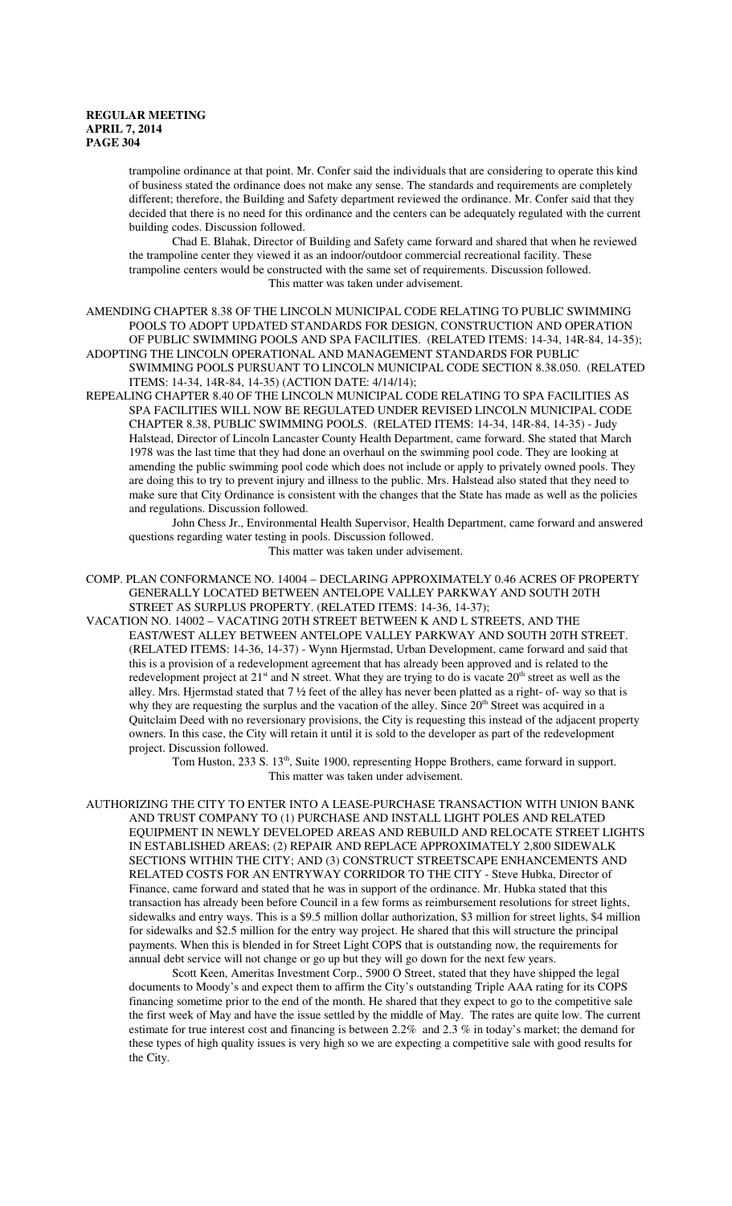trampoline ordinance at that point. Mr. Confer said the individuals that are considering to operate this kind of business stated the ordinance does not make any sense. The standards and requirements are completely different; therefore, the Building and Safety department reviewed the ordinance. Mr. Confer said that they decided that there is no need for this ordinance and the centers can be adequately regulated with the current building codes. Discussion followed.

Chad E. Blahak, Director of Building and Safety came forward and shared that when he reviewed the trampoline center they viewed it as an indoor/outdoor commercial recreational facility. These trampoline centers would be constructed with the same set of requirements. Discussion followed. This matter was taken under advisement.

AMENDING CHAPTER 8.38 OF THE LINCOLN MUNICIPAL CODE RELATING TO PUBLIC SWIMMING POOLS TO ADOPT UPDATED STANDARDS FOR DESIGN, CONSTRUCTION AND OPERATION OF PUBLIC SWIMMING POOLS AND SPA FACILITIES. (RELATED ITEMS: 14-34, 14R-84, 14-35); ADOPTING THE LINCOLN OPERATIONAL AND MANAGEMENT STANDARDS FOR PUBLIC

SWIMMING POOLS PURSUANT TO LINCOLN MUNICIPAL CODE SECTION 8.38.050. (RELATED ITEMS: 14-34, 14R-84, 14-35) (ACTION DATE: 4/14/14);

REPEALING CHAPTER 8.40 OF THE LINCOLN MUNICIPAL CODE RELATING TO SPA FACILITIES AS SPA FACILITIES WILL NOW BE REGULATED UNDER REVISED LINCOLN MUNICIPAL CODE CHAPTER 8.38, PUBLIC SWIMMING POOLS. (RELATED ITEMS: 14-34, 14R-84, 14-35) - Judy Halstead, Director of Lincoln Lancaster County Health Department, came forward. She stated that March 1978 was the last time that they had done an overhaul on the swimming pool code. They are looking at amending the public swimming pool code which does not include or apply to privately owned pools. They are doing this to try to prevent injury and illness to the public. Mrs. Halstead also stated that they need to make sure that City Ordinance is consistent with the changes that the State has made as well as the policies and regulations. Discussion followed.

John Chess Jr., Environmental Health Supervisor, Health Department, came forward and answered questions regarding water testing in pools. Discussion followed.

This matter was taken under advisement.

- COMP. PLAN CONFORMANCE NO. 14004 DECLARING APPROXIMATELY 0.46 ACRES OF PROPERTY GENERALLY LOCATED BETWEEN ANTELOPE VALLEY PARKWAY AND SOUTH 20TH STREET AS SURPLUS PROPERTY. (RELATED ITEMS: 14-36, 14-37);
- VACATION NO. 14002 VACATING 20TH STREET BETWEEN K AND L STREETS, AND THE EAST/WEST ALLEY BETWEEN ANTELOPE VALLEY PARKWAY AND SOUTH 20TH STREET. (RELATED ITEMS: 14-36, 14-37) - Wynn Hjermstad, Urban Development, came forward and said that this is a provision of a redevelopment agreement that has already been approved and is related to the redevelopment project at  $21<sup>st</sup>$  and N street. What they are trying to do is vacate  $20<sup>th</sup>$  street as well as the alley. Mrs. Hjermstad stated that 7 ½ feet of the alley has never been platted as a right- of- way so that is why they are requesting the surplus and the vacation of the alley. Since 20<sup>th</sup> Street was acquired in a Quitclaim Deed with no reversionary provisions, the City is requesting this instead of the adjacent property owners. In this case, the City will retain it until it is sold to the developer as part of the redevelopment project. Discussion followed.

Tom Huston, 233 S. 13<sup>th</sup>, Suite 1900, representing Hoppe Brothers, came forward in support. This matter was taken under advisement.

AUTHORIZING THE CITY TO ENTER INTO A LEASE-PURCHASE TRANSACTION WITH UNION BANK AND TRUST COMPANY TO (1) PURCHASE AND INSTALL LIGHT POLES AND RELATED EQUIPMENT IN NEWLY DEVELOPED AREAS AND REBUILD AND RELOCATE STREET LIGHTS IN ESTABLISHED AREAS; (2) REPAIR AND REPLACE APPROXIMATELY 2,800 SIDEWALK SECTIONS WITHIN THE CITY; AND (3) CONSTRUCT STREETSCAPE ENHANCEMENTS AND RELATED COSTS FOR AN ENTRYWAY CORRIDOR TO THE CITY - Steve Hubka, Director of Finance, came forward and stated that he was in support of the ordinance. Mr. Hubka stated that this transaction has already been before Council in a few forms as reimbursement resolutions for street lights, sidewalks and entry ways. This is a \$9.5 million dollar authorization, \$3 million for street lights, \$4 million for sidewalks and \$2.5 million for the entry way project. He shared that this will structure the principal payments. When this is blended in for Street Light COPS that is outstanding now, the requirements for annual debt service will not change or go up but they will go down for the next few years.

Scott Keen, Ameritas Investment Corp., 5900 O Street, stated that they have shipped the legal documents to Moody's and expect them to affirm the City's outstanding Triple AAA rating for its COPS financing sometime prior to the end of the month. He shared that they expect to go to the competitive sale the first week of May and have the issue settled by the middle of May. The rates are quite low. The current estimate for true interest cost and financing is between 2.2% and 2.3 % in today's market; the demand for these types of high quality issues is very high so we are expecting a competitive sale with good results for the City.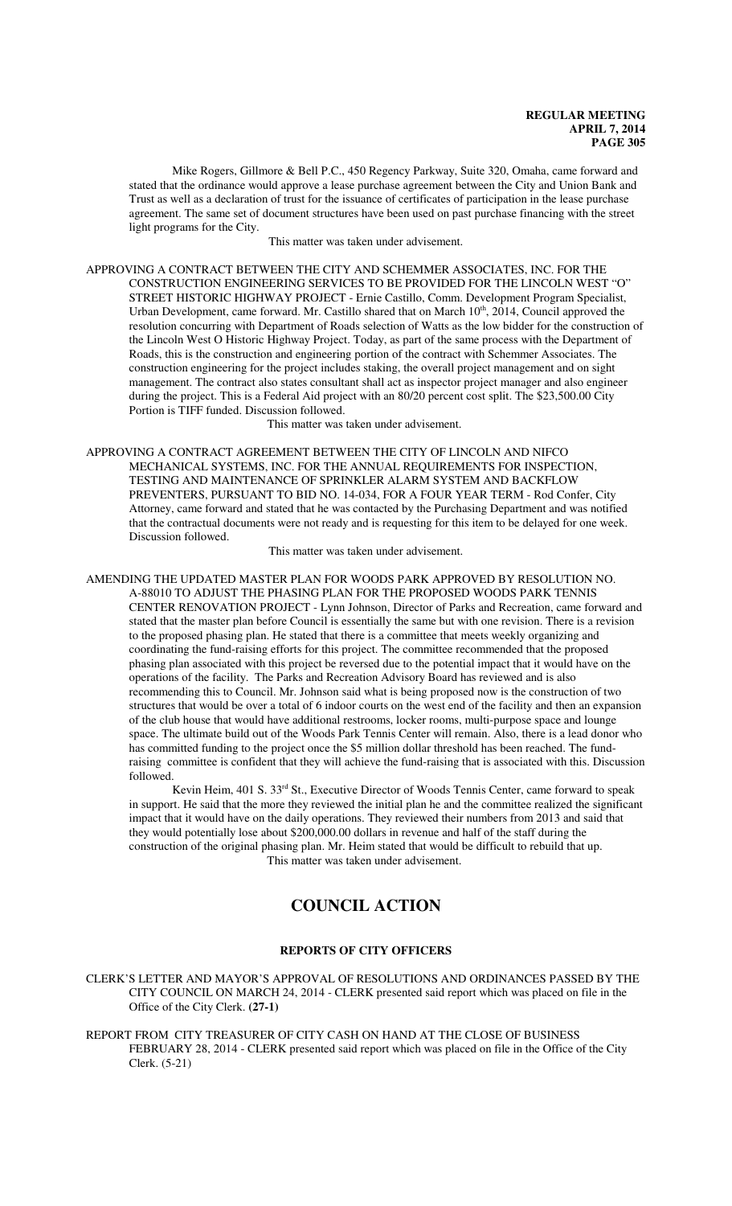Mike Rogers, Gillmore & Bell P.C., 450 Regency Parkway, Suite 320, Omaha, came forward and stated that the ordinance would approve a lease purchase agreement between the City and Union Bank and Trust as well as a declaration of trust for the issuance of certificates of participation in the lease purchase agreement. The same set of document structures have been used on past purchase financing with the street light programs for the City.

This matter was taken under advisement.

APPROVING A CONTRACT BETWEEN THE CITY AND SCHEMMER ASSOCIATES, INC. FOR THE CONSTRUCTION ENGINEERING SERVICES TO BE PROVIDED FOR THE LINCOLN WEST "O" STREET HISTORIC HIGHWAY PROJECT - Ernie Castillo, Comm. Development Program Specialist, Urban Development, came forward. Mr. Castillo shared that on March 10<sup>th</sup>, 2014, Council approved the resolution concurring with Department of Roads selection of Watts as the low bidder for the construction of the Lincoln West O Historic Highway Project. Today, as part of the same process with the Department of Roads, this is the construction and engineering portion of the contract with Schemmer Associates. The construction engineering for the project includes staking, the overall project management and on sight management. The contract also states consultant shall act as inspector project manager and also engineer during the project. This is a Federal Aid project with an 80/20 percent cost split. The \$23,500.00 City Portion is TIFF funded. Discussion followed.

This matter was taken under advisement.

APPROVING A CONTRACT AGREEMENT BETWEEN THE CITY OF LINCOLN AND NIFCO MECHANICAL SYSTEMS, INC. FOR THE ANNUAL REQUIREMENTS FOR INSPECTION, TESTING AND MAINTENANCE OF SPRINKLER ALARM SYSTEM AND BACKFLOW PREVENTERS, PURSUANT TO BID NO. 14-034, FOR A FOUR YEAR TERM - Rod Confer, City Attorney, came forward and stated that he was contacted by the Purchasing Department and was notified that the contractual documents were not ready and is requesting for this item to be delayed for one week. Discussion followed.

This matter was taken under advisement.

AMENDING THE UPDATED MASTER PLAN FOR WOODS PARK APPROVED BY RESOLUTION NO. A-88010 TO ADJUST THE PHASING PLAN FOR THE PROPOSED WOODS PARK TENNIS CENTER RENOVATION PROJECT - Lynn Johnson, Director of Parks and Recreation, came forward and stated that the master plan before Council is essentially the same but with one revision. There is a revision to the proposed phasing plan. He stated that there is a committee that meets weekly organizing and coordinating the fund-raising efforts for this project. The committee recommended that the proposed phasing plan associated with this project be reversed due to the potential impact that it would have on the operations of the facility. The Parks and Recreation Advisory Board has reviewed and is also recommending this to Council. Mr. Johnson said what is being proposed now is the construction of two structures that would be over a total of 6 indoor courts on the west end of the facility and then an expansion of the club house that would have additional restrooms, locker rooms, multi-purpose space and lounge space. The ultimate build out of the Woods Park Tennis Center will remain. Also, there is a lead donor who has committed funding to the project once the \$5 million dollar threshold has been reached. The fundraising committee is confident that they will achieve the fund-raising that is associated with this. Discussion followed.

Kevin Heim, 401 S. 33<sup>rd</sup> St., Executive Director of Woods Tennis Center, came forward to speak in support. He said that the more they reviewed the initial plan he and the committee realized the significant impact that it would have on the daily operations. They reviewed their numbers from 2013 and said that they would potentially lose about \$200,000.00 dollars in revenue and half of the staff during the construction of the original phasing plan. Mr. Heim stated that would be difficult to rebuild that up. This matter was taken under advisement.

# **COUNCIL ACTION**

## **REPORTS OF CITY OFFICERS**

CLERK'S LETTER AND MAYOR'S APPROVAL OF RESOLUTIONS AND ORDINANCES PASSED BY THE CITY COUNCIL ON MARCH 24, 2014 - CLERK presented said report which was placed on file in the Office of the City Clerk. **(27-1)**

REPORT FROM CITY TREASURER OF CITY CASH ON HAND AT THE CLOSE OF BUSINESS FEBRUARY 28, 2014 - CLERK presented said report which was placed on file in the Office of the City Clerk. (5-21)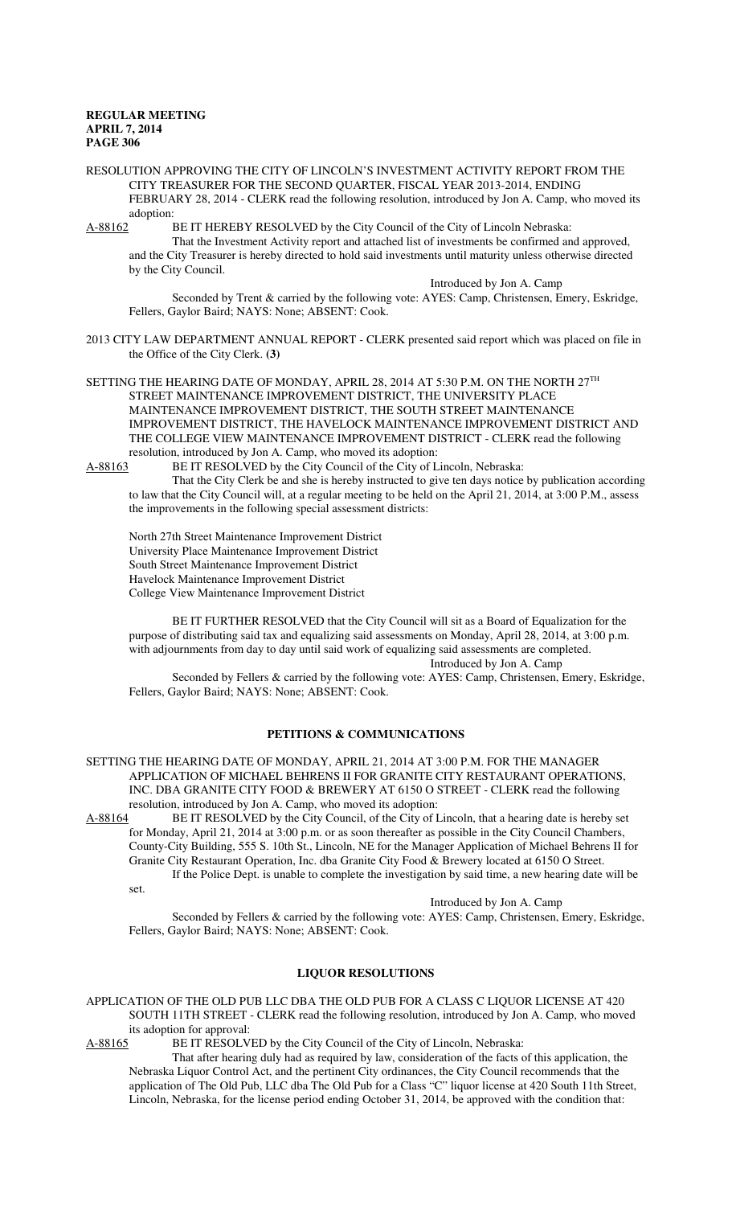#### RESOLUTION APPROVING THE CITY OF LINCOLN'S INVESTMENT ACTIVITY REPORT FROM THE CITY TREASURER FOR THE SECOND QUARTER, FISCAL YEAR 2013-2014, ENDING FEBRUARY 28, 2014 - CLERK read the following resolution, introduced by Jon A. Camp, who moved its adoption:

A-88162 BE IT HEREBY RESOLVED by the City Council of the City of Lincoln Nebraska: That the Investment Activity report and attached list of investments be confirmed and approved, and the City Treasurer is hereby directed to hold said investments until maturity unless otherwise directed by the City Council.

> Introduced by Jon A. Camp Seconded by Trent & carried by the following vote: AYES: Camp, Christensen, Emery, Eskridge,

Fellers, Gaylor Baird; NAYS: None; ABSENT: Cook.

2013 CITY LAW DEPARTMENT ANNUAL REPORT - CLERK presented said report which was placed on file in the Office of the City Clerk. **(3)**

SETTING THE HEARING DATE OF MONDAY, APRIL 28, 2014 AT 5:30 P.M. ON THE NORTH 27TH STREET MAINTENANCE IMPROVEMENT DISTRICT, THE UNIVERSITY PLACE MAINTENANCE IMPROVEMENT DISTRICT, THE SOUTH STREET MAINTENANCE IMPROVEMENT DISTRICT, THE HAVELOCK MAINTENANCE IMPROVEMENT DISTRICT AND THE COLLEGE VIEW MAINTENANCE IMPROVEMENT DISTRICT - CLERK read the following resolution, introduced by Jon A. Camp, who moved its adoption:<br>A-88163 BE IT RESOLVED by the City Council of the City of L

BE IT RESOLVED by the City Council of the City of Lincoln, Nebraska:

That the City Clerk be and she is hereby instructed to give ten days notice by publication according to law that the City Council will, at a regular meeting to be held on the April 21, 2014, at 3:00 P.M., assess the improvements in the following special assessment districts:

North 27th Street Maintenance Improvement District University Place Maintenance Improvement District South Street Maintenance Improvement District Havelock Maintenance Improvement District College View Maintenance Improvement District

BE IT FURTHER RESOLVED that the City Council will sit as a Board of Equalization for the purpose of distributing said tax and equalizing said assessments on Monday, April 28, 2014, at 3:00 p.m. with adjournments from day to day until said work of equalizing said assessments are completed. Introduced by Jon A. Camp

Seconded by Fellers & carried by the following vote: AYES: Camp, Christensen, Emery, Eskridge, Fellers, Gaylor Baird; NAYS: None; ABSENT: Cook.

## **PETITIONS & COMMUNICATIONS**

SETTING THE HEARING DATE OF MONDAY, APRIL 21, 2014 AT 3:00 P.M. FOR THE MANAGER APPLICATION OF MICHAEL BEHRENS II FOR GRANITE CITY RESTAURANT OPERATIONS, INC. DBA GRANITE CITY FOOD & BREWERY AT 6150 O STREET - CLERK read the following resolution, introduced by Jon A. Camp, who moved its adoption:<br>A-88164 BE IT RESOLVED by the City Council, of the City of I

BE IT RESOLVED by the City Council, of the City of Lincoln, that a hearing date is hereby set for Monday, April 21, 2014 at 3:00 p.m. or as soon thereafter as possible in the City Council Chambers, County-City Building, 555 S. 10th St., Lincoln, NE for the Manager Application of Michael Behrens II for Granite City Restaurant Operation, Inc. dba Granite City Food & Brewery located at 6150 O Street. If the Police Dept. is unable to complete the investigation by said time, a new hearing date will be

set.

Introduced by Jon A. Camp

Seconded by Fellers & carried by the following vote: AYES: Camp, Christensen, Emery, Eskridge, Fellers, Gaylor Baird; NAYS: None; ABSENT: Cook.

## **LIQUOR RESOLUTIONS**

APPLICATION OF THE OLD PUB LLC DBA THE OLD PUB FOR A CLASS C LIQUOR LICENSE AT 420 SOUTH 11TH STREET - CLERK read the following resolution, introduced by Jon A. Camp, who moved its adoption for approval:

A-88165 BE IT RESOLVED by the City Council of the City of Lincoln, Nebraska:

That after hearing duly had as required by law, consideration of the facts of this application, the Nebraska Liquor Control Act, and the pertinent City ordinances, the City Council recommends that the application of The Old Pub, LLC dba The Old Pub for a Class "C" liquor license at 420 South 11th Street, Lincoln, Nebraska, for the license period ending October 31, 2014, be approved with the condition that: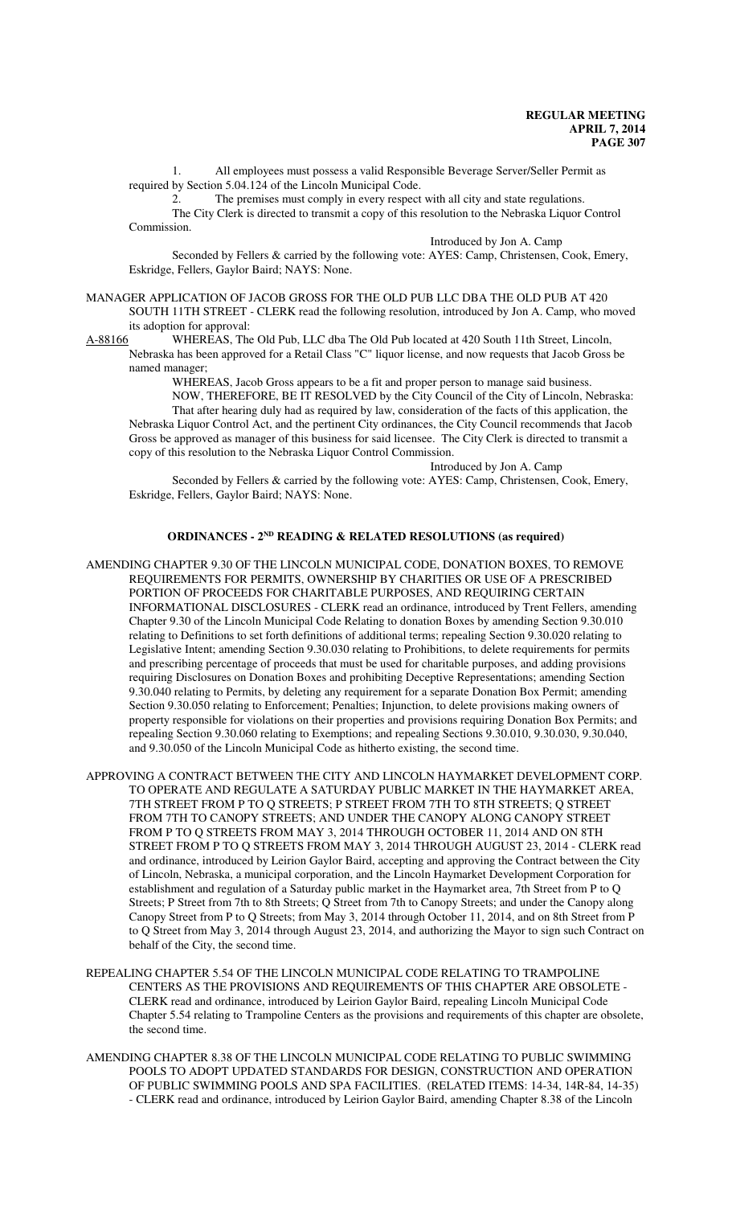1. All employees must possess a valid Responsible Beverage Server/Seller Permit as required by Section 5.04.124 of the Lincoln Municipal Code.

2. The premises must comply in every respect with all city and state regulations. The City Clerk is directed to transmit a copy of this resolution to the Nebraska Liquor Control Commission.

Introduced by Jon A. Camp

Seconded by Fellers & carried by the following vote: AYES: Camp, Christensen, Cook, Emery, Eskridge, Fellers, Gaylor Baird; NAYS: None.

- MANAGER APPLICATION OF JACOB GROSS FOR THE OLD PUB LLC DBA THE OLD PUB AT 420 SOUTH 11TH STREET - CLERK read the following resolution, introduced by Jon A. Camp, who moved
- its adoption for approval:<br>A-88166 WHEREAS, The WHEREAS, The Old Pub, LLC dba The Old Pub located at 420 South 11th Street, Lincoln, Nebraska has been approved for a Retail Class "C" liquor license, and now requests that Jacob Gross be named manager;

WHEREAS, Jacob Gross appears to be a fit and proper person to manage said business.

NOW, THEREFORE, BE IT RESOLVED by the City Council of the City of Lincoln, Nebraska:

That after hearing duly had as required by law, consideration of the facts of this application, the Nebraska Liquor Control Act, and the pertinent City ordinances, the City Council recommends that Jacob Gross be approved as manager of this business for said licensee. The City Clerk is directed to transmit a copy of this resolution to the Nebraska Liquor Control Commission.

Introduced by Jon A. Camp

Seconded by Fellers & carried by the following vote: AYES: Camp, Christensen, Cook, Emery, Eskridge, Fellers, Gaylor Baird; NAYS: None.

## **ORDINANCES - 2ND READING & RELATED RESOLUTIONS (as required)**

- AMENDING CHAPTER 9.30 OF THE LINCOLN MUNICIPAL CODE, DONATION BOXES, TO REMOVE REQUIREMENTS FOR PERMITS, OWNERSHIP BY CHARITIES OR USE OF A PRESCRIBED PORTION OF PROCEEDS FOR CHARITABLE PURPOSES, AND REQUIRING CERTAIN INFORMATIONAL DISCLOSURES - CLERK read an ordinance, introduced by Trent Fellers, amending Chapter 9.30 of the Lincoln Municipal Code Relating to donation Boxes by amending Section 9.30.010 relating to Definitions to set forth definitions of additional terms; repealing Section 9.30.020 relating to Legislative Intent; amending Section 9.30.030 relating to Prohibitions, to delete requirements for permits and prescribing percentage of proceeds that must be used for charitable purposes, and adding provisions requiring Disclosures on Donation Boxes and prohibiting Deceptive Representations; amending Section 9.30.040 relating to Permits, by deleting any requirement for a separate Donation Box Permit; amending Section 9.30.050 relating to Enforcement; Penalties; Injunction, to delete provisions making owners of property responsible for violations on their properties and provisions requiring Donation Box Permits; and repealing Section 9.30.060 relating to Exemptions; and repealing Sections 9.30.010, 9.30.030, 9.30.040, and 9.30.050 of the Lincoln Municipal Code as hitherto existing, the second time.
- APPROVING A CONTRACT BETWEEN THE CITY AND LINCOLN HAYMARKET DEVELOPMENT CORP. TO OPERATE AND REGULATE A SATURDAY PUBLIC MARKET IN THE HAYMARKET AREA, 7TH STREET FROM P TO Q STREETS; P STREET FROM 7TH TO 8TH STREETS; Q STREET FROM 7TH TO CANOPY STREETS; AND UNDER THE CANOPY ALONG CANOPY STREET FROM P TO Q STREETS FROM MAY 3, 2014 THROUGH OCTOBER 11, 2014 AND ON 8TH STREET FROM P TO Q STREETS FROM MAY 3, 2014 THROUGH AUGUST 23, 2014 - CLERK read and ordinance, introduced by Leirion Gaylor Baird, accepting and approving the Contract between the City of Lincoln, Nebraska, a municipal corporation, and the Lincoln Haymarket Development Corporation for establishment and regulation of a Saturday public market in the Haymarket area, 7th Street from P to Q Streets; P Street from 7th to 8th Streets; Q Street from 7th to Canopy Streets; and under the Canopy along Canopy Street from P to Q Streets; from May 3, 2014 through October 11, 2014, and on 8th Street from P to Q Street from May 3, 2014 through August 23, 2014, and authorizing the Mayor to sign such Contract on behalf of the City, the second time.
- REPEALING CHAPTER 5.54 OF THE LINCOLN MUNICIPAL CODE RELATING TO TRAMPOLINE CENTERS AS THE PROVISIONS AND REQUIREMENTS OF THIS CHAPTER ARE OBSOLETE - CLERK read and ordinance, introduced by Leirion Gaylor Baird, repealing Lincoln Municipal Code Chapter 5.54 relating to Trampoline Centers as the provisions and requirements of this chapter are obsolete, the second time.
- AMENDING CHAPTER 8.38 OF THE LINCOLN MUNICIPAL CODE RELATING TO PUBLIC SWIMMING POOLS TO ADOPT UPDATED STANDARDS FOR DESIGN, CONSTRUCTION AND OPERATION OF PUBLIC SWIMMING POOLS AND SPA FACILITIES. (RELATED ITEMS: 14-34, 14R-84, 14-35) - CLERK read and ordinance, introduced by Leirion Gaylor Baird, amending Chapter 8.38 of the Lincoln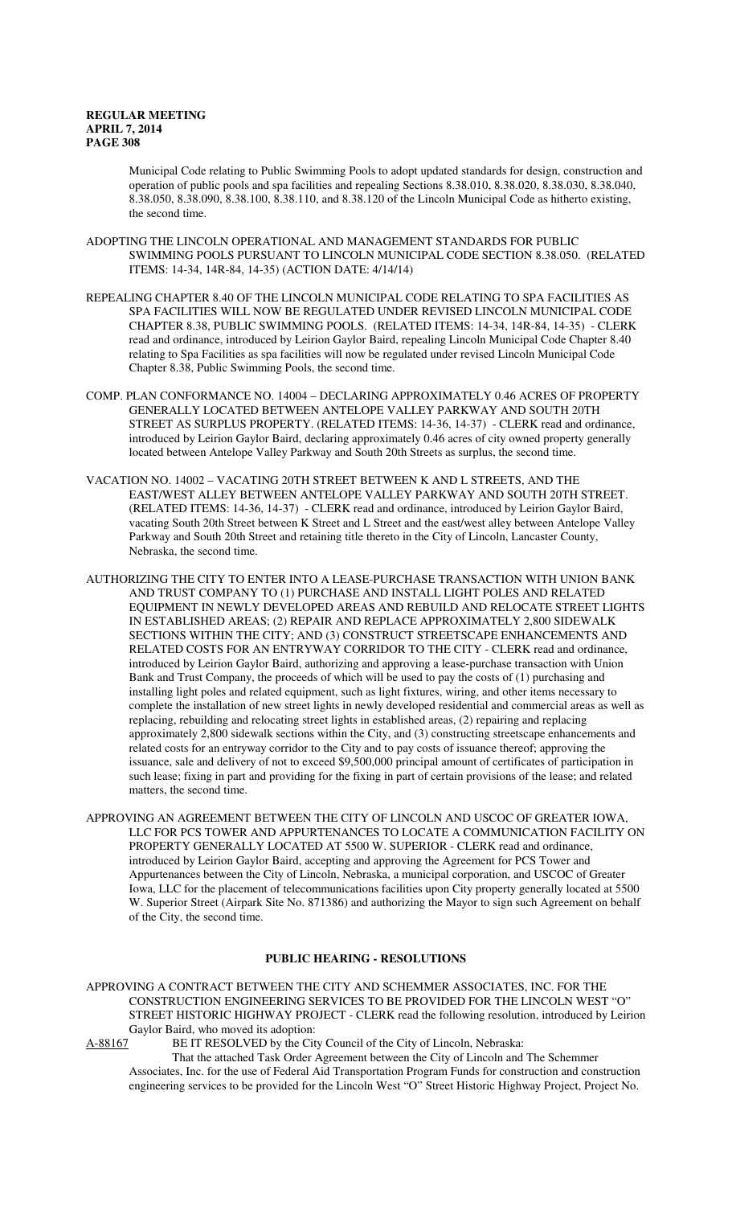Municipal Code relating to Public Swimming Pools to adopt updated standards for design, construction and operation of public pools and spa facilities and repealing Sections 8.38.010, 8.38.020, 8.38.030, 8.38.040, 8.38.050, 8.38.090, 8.38.100, 8.38.110, and 8.38.120 of the Lincoln Municipal Code as hitherto existing, the second time.

- ADOPTING THE LINCOLN OPERATIONAL AND MANAGEMENT STANDARDS FOR PUBLIC SWIMMING POOLS PURSUANT TO LINCOLN MUNICIPAL CODE SECTION 8.38.050. (RELATED ITEMS: 14-34, 14R-84, 14-35) (ACTION DATE: 4/14/14)
- REPEALING CHAPTER 8.40 OF THE LINCOLN MUNICIPAL CODE RELATING TO SPA FACILITIES AS SPA FACILITIES WILL NOW BE REGULATED UNDER REVISED LINCOLN MUNICIPAL CODE CHAPTER 8.38, PUBLIC SWIMMING POOLS. (RELATED ITEMS: 14-34, 14R-84, 14-35) - CLERK read and ordinance, introduced by Leirion Gaylor Baird, repealing Lincoln Municipal Code Chapter 8.40 relating to Spa Facilities as spa facilities will now be regulated under revised Lincoln Municipal Code Chapter 8.38, Public Swimming Pools, the second time.
- COMP. PLAN CONFORMANCE NO. 14004 DECLARING APPROXIMATELY 0.46 ACRES OF PROPERTY GENERALLY LOCATED BETWEEN ANTELOPE VALLEY PARKWAY AND SOUTH 20TH STREET AS SURPLUS PROPERTY. (RELATED ITEMS: 14-36, 14-37) - CLERK read and ordinance, introduced by Leirion Gaylor Baird, declaring approximately 0.46 acres of city owned property generally located between Antelope Valley Parkway and South 20th Streets as surplus, the second time.
- VACATION NO. 14002 VACATING 20TH STREET BETWEEN K AND L STREETS, AND THE EAST/WEST ALLEY BETWEEN ANTELOPE VALLEY PARKWAY AND SOUTH 20TH STREET. (RELATED ITEMS: 14-36, 14-37) - CLERK read and ordinance, introduced by Leirion Gaylor Baird, vacating South 20th Street between K Street and L Street and the east/west alley between Antelope Valley Parkway and South 20th Street and retaining title thereto in the City of Lincoln, Lancaster County, Nebraska, the second time.
- AUTHORIZING THE CITY TO ENTER INTO A LEASE-PURCHASE TRANSACTION WITH UNION BANK AND TRUST COMPANY TO (1) PURCHASE AND INSTALL LIGHT POLES AND RELATED EQUIPMENT IN NEWLY DEVELOPED AREAS AND REBUILD AND RELOCATE STREET LIGHTS IN ESTABLISHED AREAS; (2) REPAIR AND REPLACE APPROXIMATELY 2,800 SIDEWALK SECTIONS WITHIN THE CITY; AND (3) CONSTRUCT STREETSCAPE ENHANCEMENTS AND RELATED COSTS FOR AN ENTRYWAY CORRIDOR TO THE CITY - CLERK read and ordinance, introduced by Leirion Gaylor Baird, authorizing and approving a lease-purchase transaction with Union Bank and Trust Company, the proceeds of which will be used to pay the costs of (1) purchasing and installing light poles and related equipment, such as light fixtures, wiring, and other items necessary to complete the installation of new street lights in newly developed residential and commercial areas as well as replacing, rebuilding and relocating street lights in established areas, (2) repairing and replacing approximately 2,800 sidewalk sections within the City, and (3) constructing streetscape enhancements and related costs for an entryway corridor to the City and to pay costs of issuance thereof; approving the issuance, sale and delivery of not to exceed \$9,500,000 principal amount of certificates of participation in such lease; fixing in part and providing for the fixing in part of certain provisions of the lease; and related matters, the second time.
- APPROVING AN AGREEMENT BETWEEN THE CITY OF LINCOLN AND USCOC OF GREATER IOWA, LLC FOR PCS TOWER AND APPURTENANCES TO LOCATE A COMMUNICATION FACILITY ON PROPERTY GENERALLY LOCATED AT 5500 W. SUPERIOR - CLERK read and ordinance, introduced by Leirion Gaylor Baird, accepting and approving the Agreement for PCS Tower and Appurtenances between the City of Lincoln, Nebraska, a municipal corporation, and USCOC of Greater Iowa, LLC for the placement of telecommunications facilities upon City property generally located at 5500 W. Superior Street (Airpark Site No. 871386) and authorizing the Mayor to sign such Agreement on behalf of the City, the second time.

## **PUBLIC HEARING - RESOLUTIONS**

APPROVING A CONTRACT BETWEEN THE CITY AND SCHEMMER ASSOCIATES, INC. FOR THE CONSTRUCTION ENGINEERING SERVICES TO BE PROVIDED FOR THE LINCOLN WEST "O" STREET HISTORIC HIGHWAY PROJECT - CLERK read the following resolution, introduced by Leirion Gaylor Baird, who moved its adoption:

A-88167 BE IT RESOLVED by the City Council of the City of Lincoln, Nebraska:

That the attached Task Order Agreement between the City of Lincoln and The Schemmer Associates, Inc. for the use of Federal Aid Transportation Program Funds for construction and construction engineering services to be provided for the Lincoln West "O" Street Historic Highway Project, Project No.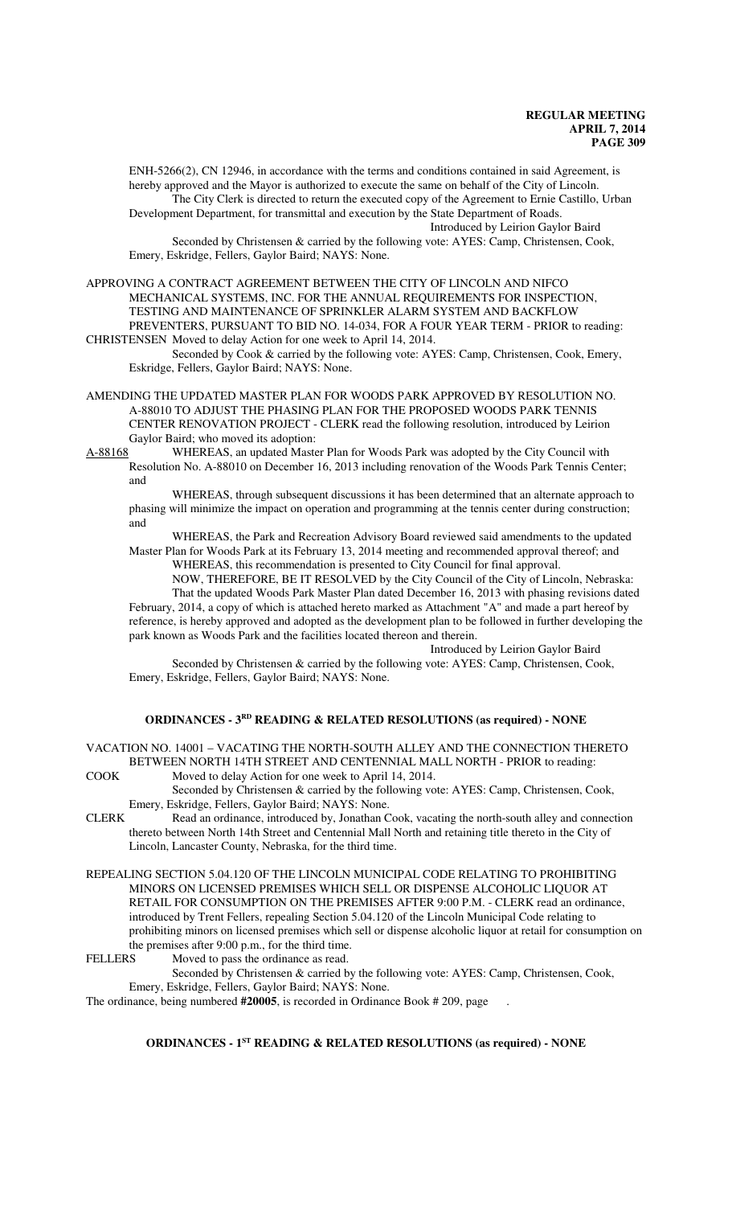ENH-5266(2), CN 12946, in accordance with the terms and conditions contained in said Agreement, is hereby approved and the Mayor is authorized to execute the same on behalf of the City of Lincoln. The City Clerk is directed to return the executed copy of the Agreement to Ernie Castillo, Urban

Development Department, for transmittal and execution by the State Department of Roads. Introduced by Leirion Gaylor Baird

Seconded by Christensen & carried by the following vote: AYES: Camp, Christensen, Cook, Emery, Eskridge, Fellers, Gaylor Baird; NAYS: None.

APPROVING A CONTRACT AGREEMENT BETWEEN THE CITY OF LINCOLN AND NIFCO MECHANICAL SYSTEMS, INC. FOR THE ANNUAL REQUIREMENTS FOR INSPECTION, TESTING AND MAINTENANCE OF SPRINKLER ALARM SYSTEM AND BACKFLOW PREVENTERS, PURSUANT TO BID NO. 14-034, FOR A FOUR YEAR TERM - PRIOR to reading:

CHRISTENSEN Moved to delay Action for one week to April 14, 2014. Seconded by Cook & carried by the following vote: AYES: Camp, Christensen, Cook, Emery, Eskridge, Fellers, Gaylor Baird; NAYS: None.

- AMENDING THE UPDATED MASTER PLAN FOR WOODS PARK APPROVED BY RESOLUTION NO. A-88010 TO ADJUST THE PHASING PLAN FOR THE PROPOSED WOODS PARK TENNIS CENTER RENOVATION PROJECT - CLERK read the following resolution, introduced by Leirion Gaylor Baird; who moved its adoption:
- A-88168 WHEREAS, an updated Master Plan for Woods Park was adopted by the City Council with Resolution No. A-88010 on December 16, 2013 including renovation of the Woods Park Tennis Center; and

WHEREAS, through subsequent discussions it has been determined that an alternate approach to phasing will minimize the impact on operation and programming at the tennis center during construction; and

WHEREAS, the Park and Recreation Advisory Board reviewed said amendments to the updated Master Plan for Woods Park at its February 13, 2014 meeting and recommended approval thereof; and

WHEREAS, this recommendation is presented to City Council for final approval.

NOW, THEREFORE, BE IT RESOLVED by the City Council of the City of Lincoln, Nebraska: That the updated Woods Park Master Plan dated December 16, 2013 with phasing revisions dated February, 2014, a copy of which is attached hereto marked as Attachment "A" and made a part hereof by reference, is hereby approved and adopted as the development plan to be followed in further developing the park known as Woods Park and the facilities located thereon and therein.

Introduced by Leirion Gaylor Baird

Seconded by Christensen & carried by the following vote: AYES: Camp, Christensen, Cook, Emery, Eskridge, Fellers, Gaylor Baird; NAYS: None.

## **ORDINANCES - 3RD READING & RELATED RESOLUTIONS (as required) - NONE**

VACATION NO. 14001 – VACATING THE NORTH-SOUTH ALLEY AND THE CONNECTION THERETO BETWEEN NORTH 14TH STREET AND CENTENNIAL MALL NORTH - PRIOR to reading: COOK Moved to delay Action for one week to April 14, 2014.

- Seconded by Christensen & carried by the following vote: AYES: Camp, Christensen, Cook,
- Emery, Eskridge, Fellers, Gaylor Baird; NAYS: None.
- CLERK Read an ordinance, introduced by, Jonathan Cook, vacating the north-south alley and connection thereto between North 14th Street and Centennial Mall North and retaining title thereto in the City of Lincoln, Lancaster County, Nebraska, for the third time.
- REPEALING SECTION 5.04.120 OF THE LINCOLN MUNICIPAL CODE RELATING TO PROHIBITING MINORS ON LICENSED PREMISES WHICH SELL OR DISPENSE ALCOHOLIC LIQUOR AT RETAIL FOR CONSUMPTION ON THE PREMISES AFTER 9:00 P.M. - CLERK read an ordinance, introduced by Trent Fellers, repealing Section 5.04.120 of the Lincoln Municipal Code relating to prohibiting minors on licensed premises which sell or dispense alcoholic liquor at retail for consumption on the premises after 9:00 p.m., for the third time.<br>FELLERS Moved to pass the ordinance as read

Moved to pass the ordinance as read.

Seconded by Christensen & carried by the following vote: AYES: Camp, Christensen, Cook, Emery, Eskridge, Fellers, Gaylor Baird; NAYS: None.

The ordinance, being numbered **#20005**, is recorded in Ordinance Book # 209, page .

**ORDINANCES - 1ST READING & RELATED RESOLUTIONS (as required) - NONE**